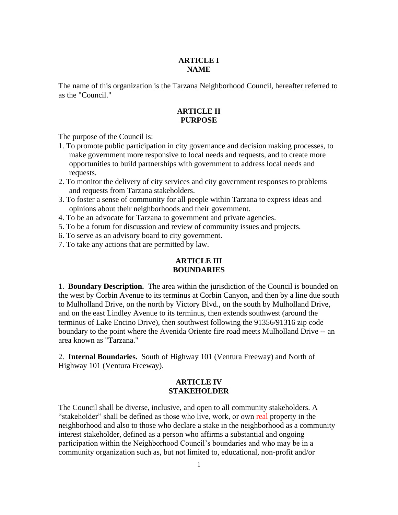# **ARTICLE I NAME**

The name of this organization is the Tarzana Neighborhood Council, hereafter referred to as the "Council."

# **ARTICLE II PURPOSE**

The purpose of the Council is:

- 1. To promote public participation in city governance and decision making processes, to make government more responsive to local needs and requests, and to create more opportunities to build partnerships with government to address local needs and requests.
- 2. To monitor the delivery of city services and city government responses to problems and requests from Tarzana stakeholders.
- 3. To foster a sense of community for all people within Tarzana to express ideas and opinions about their neighborhoods and their government.
- 4. To be an advocate for Tarzana to government and private agencies.
- 5. To be a forum for discussion and review of community issues and projects.
- 6. To serve as an advisory board to city government.
- 7. To take any actions that are permitted by law.

# **ARTICLE III BOUNDARIES**

1. **Boundary Description.** The area within the jurisdiction of the Council is bounded on the west by Corbin Avenue to its terminus at Corbin Canyon, and then by a line due south to Mulholland Drive, on the north by Victory Blvd., on the south by Mulholland Drive, and on the east Lindley Avenue to its terminus, then extends southwest (around the terminus of Lake Encino Drive), then southwest following the 91356/91316 zip code boundary to the point where the Avenida Oriente fire road meets Mulholland Drive -- an area known as "Tarzana."

2. **Internal Boundaries.** South of Highway 101 (Ventura Freeway) and North of Highway 101 (Ventura Freeway).

#### **ARTICLE IV STAKEHOLDER**

The Council shall be diverse, inclusive, and open to all community stakeholders. A "stakeholder" shall be defined as those who live, work, or own real property in the neighborhood and also to those who declare a stake in the neighborhood as a community interest stakeholder, defined as a person who affirms a substantial and ongoing participation within the Neighborhood Council's boundaries and who may be in a community organization such as, but not limited to, educational, non-profit and/or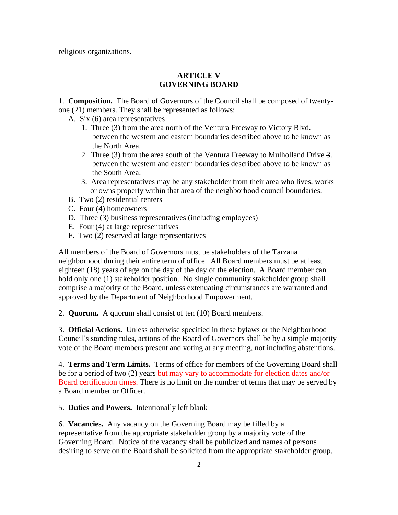religious organizations.

#### **ARTICLE V GOVERNING BOARD**

1. **Composition.** The Board of Governors of the Council shall be composed of twentyone (21) members. They shall be represented as follows:

A. Six (6) area representatives

- 1. Three (3) from the area north of the Ventura Freeway to Victory Blvd. between the western and eastern boundaries described above to be known as the North Area.
- 2. Three (3) from the area south of the Ventura Freeway to Mulholland Drive 3. between the western and eastern boundaries described above to be known as the South Area.
- 3. Area representatives may be any stakeholder from their area who lives, works or owns property within that area of the neighborhood council boundaries.
- B. Two (2) residential renters
- C. Four (4) homeowners
- D. Three (3) business representatives (including employees)
- E. Four (4) at large representatives
- F. Two (2) reserved at large representatives

All members of the Board of Governors must be stakeholders of the Tarzana neighborhood during their entire term of office. All Board members must be at least eighteen (18) years of age on the day of the day of the election. A Board member can hold only one (1) stakeholder position. No single community stakeholder group shall comprise a majority of the Board, unless extenuating circumstances are warranted and approved by the Department of Neighborhood Empowerment.

2. **Quorum.** A quorum shall consist of ten (10) Board members.

3. **Official Actions.** Unless otherwise specified in these bylaws or the Neighborhood Council's standing rules, actions of the Board of Governors shall be by a simple majority vote of the Board members present and voting at any meeting, not including abstentions.

4. **Terms and Term Limits.** Terms of office for members of the Governing Board shall be for a period of two (2) years but may vary to accommodate for election dates and/or Board certification times. There is no limit on the number of terms that may be served by a Board member or Officer.

5. **Duties and Powers.** Intentionally left blank

6. **Vacancies.** Any vacancy on the Governing Board may be filled by a representative from the appropriate stakeholder group by a majority vote of the Governing Board. Notice of the vacancy shall be publicized and names of persons desiring to serve on the Board shall be solicited from the appropriate stakeholder group.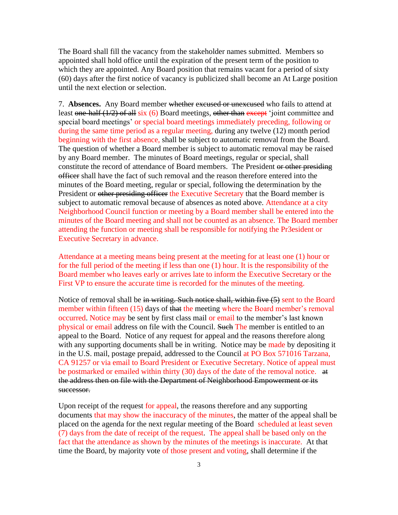The Board shall fill the vacancy from the stakeholder names submitted. Members so appointed shall hold office until the expiration of the present term of the position to which they are appointed. Any Board position that remains vacant for a period of sixty (60) days after the first notice of vacancy is publicized shall become an At Large position until the next election or selection.

7. **Absences.** Any Board member whether excused or unexcused who fails to attend at least one-half (1/2) of all six (6) Board meetings, other than except 'joint committee and special board meetings' or special board meetings immediately preceding, following or during the same time period as a regular meeting, during any twelve (12) month period beginning with the first absence, shall be subject to automatic removal from the Board. The question of whether a Board member is subject to automatic removal may be raised by any Board member. The minutes of Board meetings, regular or special, shall constitute the record of attendance of Board members. The President or other presiding officer shall have the fact of such removal and the reason therefore entered into the minutes of the Board meeting, regular or special, following the determination by the President or other presiding officer the Executive Secretary that the Board member is subject to automatic removal because of absences as noted above. Attendance at a city Neighborhood Council function or meeting by a Board member shall be entered into the minutes of the Board meeting and shall not be counted as an absence. The Board member attending the function or meeting shall be responsible for notifying the Pr3esident or Executive Secretary in advance.

Attendance at a meeting means being present at the meeting for at least one (1) hour or for the full period of the meeting if less than one (1) hour. It is the responsibility of the Board member who leaves early or arrives late to inform the Executive Secretary or the First VP to ensure the accurate time is recorded for the minutes of the meeting.

Notice of removal shall be in writing. Such notice shall, within five (5) sent to the Board member within fifteen (15) days of that the meeting where the Board member's removal occurred. Notice may be sent by first class mail or email to the member's last known physical or email address on file with the Council. Such The member is entitled to an appeal to the Board. Notice of any request for appeal and the reasons therefore along with any supporting documents shall be in writing. Notice may be made by depositing it in the U.S. mail, postage prepaid, addressed to the Council at PO Box 571016 Tarzana, CA 91257 or via email to Board President or Executive Secretary. Notice of appeal must be postmarked or emailed within thirty (30) days of the date of the removal notice. at the address then on file with the Department of Neighborhood Empowerment or its successor.

Upon receipt of the request for appeal, the reasons therefore and any supporting documents that may show the inaccuracy of the minutes, the matter of the appeal shall be placed on the agenda for the next regular meeting of the Board scheduled at least seven (7) days from the date of receipt of the request. The appeal shall be based only on the fact that the attendance as shown by the minutes of the meetings is inaccurate. At that time the Board, by majority vote of those present and voting, shall determine if the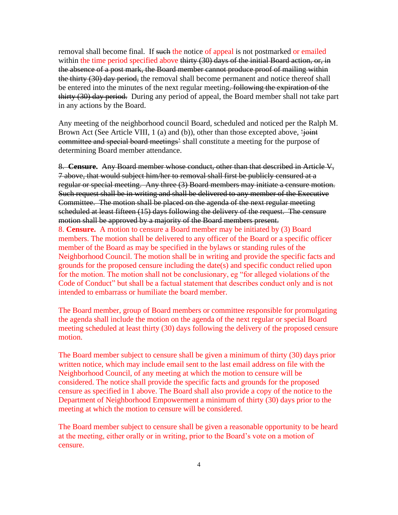removal shall become final. If such the notice of appeal is not postmarked or emailed within the time period specified above thirty (30) days of the initial Board action, or, in the absence of a post mark, the Board member cannot produce proof of mailing within the thirty (30) day period, the removal shall become permanent and notice thereof shall be entered into the minutes of the next regular meeting. Following the expiration of the thirty (30) day period. During any period of appeal, the Board member shall not take part in any actions by the Board.

Any meeting of the neighborhood council Board, scheduled and noticed per the Ralph M. Brown Act (See Article VIII, 1 (a) and (b)), other than those excepted above,  $\frac{1}{2}$ committee and special board meetings' shall constitute a meeting for the purpose of determining Board member attendance.

8. **Censure.** Any Board member whose conduct, other than that described in Article V, 7 above, that would subject him/her to removal shall first be publicly censured at a regular or special meeting. Any three (3) Board members may initiate a censure motion. Such request shall be in writing and shall be delivered to any member of the Executive Committee. The motion shall be placed on the agenda of the next regular meeting scheduled at least fifteen (15) days following the delivery of the request. The censure motion shall be approved by a majority of the Board members present.

8. **Censure.** A motion to censure a Board member may be initiated by (3) Board members. The motion shall be delivered to any officer of the Board or a specific officer member of the Board as may be specified in the bylaws or standing rules of the Neighborhood Council. The motion shall be in writing and provide the specific facts and grounds for the proposed censure including the date(s) and specific conduct relied upon for the motion. The motion shall not be conclusionary, eg "for alleged violations of the Code of Conduct" but shall be a factual statement that describes conduct only and is not intended to embarrass or humiliate the board member.

The Board member, group of Board members or committee responsible for promulgating the agenda shall include the motion on the agenda of the next regular or special Board meeting scheduled at least thirty (30) days following the delivery of the proposed censure motion.

The Board member subject to censure shall be given a minimum of thirty (30) days prior written notice, which may include email sent to the last email address on file with the Neighborhood Council, of any meeting at which the motion to censure will be considered. The notice shall provide the specific facts and grounds for the proposed censure as specified in 1 above. The Board shall also provide a copy of the notice to the Department of Neighborhood Empowerment a minimum of thirty (30) days prior to the meeting at which the motion to censure will be considered.

The Board member subject to censure shall be given a reasonable opportunity to be heard at the meeting, either orally or in writing, prior to the Board's vote on a motion of censure.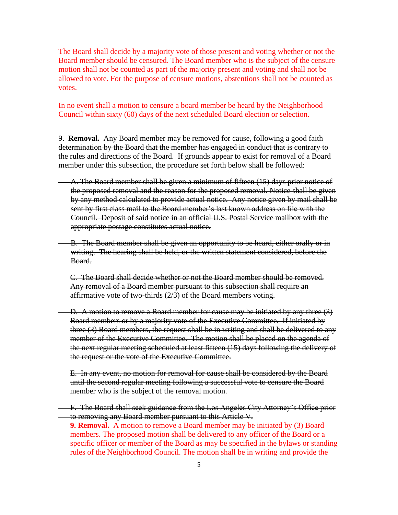The Board shall decide by a majority vote of those present and voting whether or not the Board member should be censured. The Board member who is the subject of the censure motion shall not be counted as part of the majority present and voting and shall not be allowed to vote. For the purpose of censure motions, abstentions shall not be counted as votes.

In no event shall a motion to censure a board member be heard by the Neighborhood Council within sixty (60) days of the next scheduled Board election or selection.

9. **Removal.** Any Board member may be removed for cause, following a good faith determination by the Board that the member has engaged in conduct that is contrary to the rules and directions of the Board. If grounds appear to exist for removal of a Board member under this subsection, the procedure set forth below shall be followed:

- A. The Board member shall be given a minimum of fifteen (15) days prior notice of the proposed removal and the reason for the proposed removal. Notice shall be given by any method calculated to provide actual notice. Any notice given by mail shall be sent by first class mail to the Board member's last known address on file with the Council. Deposit of said notice in an official U.S. Postal Service mailbox with the appropriate postage constitutes actual notice.
- B. The Board member shall be given an opportunity to be heard, either orally or in writing. The hearing shall be held, or the written statement considered, before the Board.

C. The Board shall decide whether or not the Board member should be removed. Any removal of a Board member pursuant to this subsection shall require an affirmative vote of two-thirds (2/3) of the Board members voting.

D. A motion to remove a Board member for cause may be initiated by any three (3) Board members or by a majority vote of the Executive Committee. If initiated by three (3) Board members, the request shall be in writing and shall be delivered to any member of the Executive Committee. The motion shall be placed on the agenda of the next regular meeting scheduled at least fifteen (15) days following the delivery of the request or the vote of the Executive Committee.

E. In any event, no motion for removal for cause shall be considered by the Board until the second regular meeting following a successful vote to censure the Board member who is the subject of the removal motion.

- F. The Board shall seek guidance from the Los Angeles City Attorney's Office prior to removing any Board member pursuant to this Article V.
	- **9. Removal.** A motion to remove a Board member may be initiated by (3) Board members. The proposed motion shall be delivered to any officer of the Board or a specific officer or member of the Board as may be specified in the bylaws or standing rules of the Neighborhood Council. The motion shall be in writing and provide the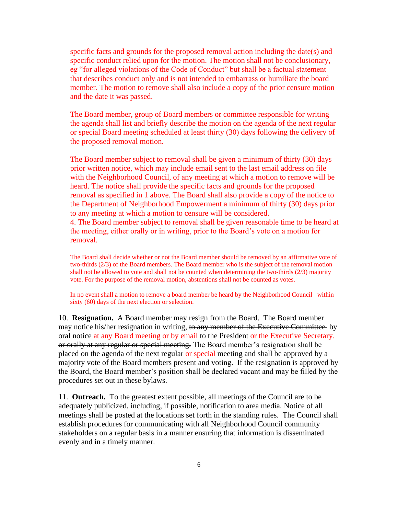specific facts and grounds for the proposed removal action including the date(s) and specific conduct relied upon for the motion. The motion shall not be conclusionary, eg "for alleged violations of the Code of Conduct" but shall be a factual statement that describes conduct only and is not intended to embarrass or humiliate the board member. The motion to remove shall also include a copy of the prior censure motion and the date it was passed.

The Board member, group of Board members or committee responsible for writing the agenda shall list and briefly describe the motion on the agenda of the next regular or special Board meeting scheduled at least thirty (30) days following the delivery of the proposed removal motion.

The Board member subject to removal shall be given a minimum of thirty (30) days prior written notice, which may include email sent to the last email address on file with the Neighborhood Council, of any meeting at which a motion to remove will be heard. The notice shall provide the specific facts and grounds for the proposed removal as specified in 1 above. The Board shall also provide a copy of the notice to the Department of Neighborhood Empowerment a minimum of thirty (30) days prior to any meeting at which a motion to censure will be considered. 4. The Board member subject to removal shall be given reasonable time to be heard at

the meeting, either orally or in writing, prior to the Board's vote on a motion for removal.

The Board shall decide whether or not the Board member should be removed by an affirmative vote of two-thirds (2/3) of the Board members. The Board member who is the subject of the removal motion shall not be allowed to vote and shall not be counted when determining the two-thirds (2/3) majority vote. For the purpose of the removal motion, abstentions shall not be counted as votes.

In no event shall a motion to remove a board member be heard by the Neighborhood Council within sixty (60) days of the next election or selection.

10. **Resignation.** A Board member may resign from the Board. The Board member may notice his/her resignation in writing, to any member of the Executive Committee by oral notice at any Board meeting or by email to the President or the Executive Secretary. or orally at any regular or special meeting. The Board member's resignation shall be placed on the agenda of the next regular or special meeting and shall be approved by a majority vote of the Board members present and voting. If the resignation is approved by the Board, the Board member's position shall be declared vacant and may be filled by the procedures set out in these bylaws.

11. **Outreach.** To the greatest extent possible, all meetings of the Council are to be adequately publicized, including, if possible, notification to area media. Notice of all meetings shall be posted at the locations set forth in the standing rules. The Council shall establish procedures for communicating with all Neighborhood Council community stakeholders on a regular basis in a manner ensuring that information is disseminated evenly and in a timely manner.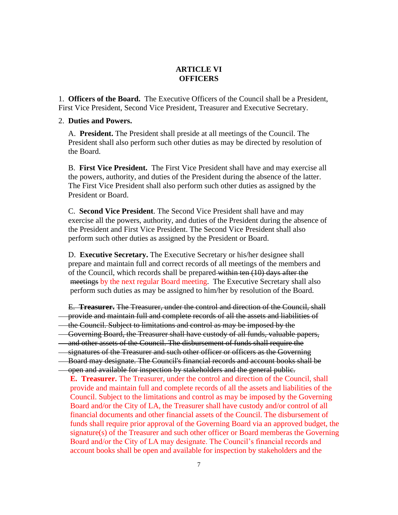## **ARTICLE VI OFFICERS**

1. **Officers of the Board.** The Executive Officers of the Council shall be a President, First Vice President, Second Vice President, Treasurer and Executive Secretary.

#### 2. **Duties and Powers.**

 A. **President.** The President shall preside at all meetings of the Council. The President shall also perform such other duties as may be directed by resolution of the Board.

 B. **First Vice President.** The First Vice President shall have and may exercise all the powers, authority, and duties of the President during the absence of the latter. The First Vice President shall also perform such other duties as assigned by the President or Board.

 C. **Second Vice President**. The Second Vice President shall have and may exercise all the powers, authority, and duties of the President during the absence of the President and First Vice President. The Second Vice President shall also perform such other duties as assigned by the President or Board.

 D. **Executive Secretary.** The Executive Secretary or his/her designee shall prepare and maintain full and correct records of all meetings of the members and of the Council, which records shall be prepared within ten (10) days after the meetings by the next regular Board meeting. The Executive Secretary shall also perform such duties as may be assigned to him/her by resolution of the Board.

E. **Treasurer.** The Treasurer, under the control and direction of the Council, shall

- provide and maintain full and complete records of all the assets and liabilities of
- the Council. Subject to limitations and control as may be imposed by the
- Governing Board, the Treasurer shall have custody of all funds, valuable papers,
- and other assets of the Council. The disbursement of funds shall require the
- signatures of the Treasurer and such other officer or officers as the Governing
- Board may designate. The Council's financial records and account books shall be open and available for inspection by stakeholders and the general public.
- **E. Treasurer.** The Treasurer, under the control and direction of the Council, shall provide and maintain full and complete records of all the assets and liabilities of the Council. Subject to the limitations and control as may be imposed by the Governing Board and/or the City of LA, the Treasurer shall have custody and/or control of all financial documents and other financial assets of the Council. The disbursement of funds shall require prior approval of the Governing Board via an approved budget, the signature(s) of the Treasurer and such other officer or Board memberas the Governing Board and/or the City of LA may designate. The Council's financial records and account books shall be open and available for inspection by stakeholders and the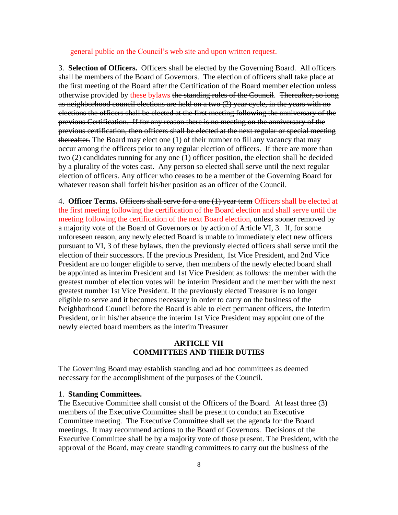general public on the Council's web site and upon written request.

3. **Selection of Officers.** Officers shall be elected by the Governing Board. All officers shall be members of the Board of Governors. The election of officers shall take place at the first meeting of the Board after the Certification of the Board member election unless otherwise provided by these bylaws the standing rules of the Council. Thereafter, so long as neighborhood council elections are held on a two (2) year cycle, in the years with no elections the officers shall be elected at the first meeting following the anniversary of the previous Certification. If for any reason there is no meeting on the anniversary of the previous certification, then officers shall be elected at the next regular or special meeting thereafter. The Board may elect one (1) of their number to fill any vacancy that may occur among the officers prior to any regular election of officers. If there are more than two (2) candidates running for any one (1) officer position, the election shall be decided by a plurality of the votes cast. Any person so elected shall serve until the next regular election of officers. Any officer who ceases to be a member of the Governing Board for whatever reason shall forfeit his/her position as an officer of the Council.

4. **Officer Terms.** Officers shall serve for a one (1) year term Officers shall be elected at the first meeting following the certification of the Board election and shall serve until the meeting following the certification of the next Board election, unless sooner removed by a majority vote of the Board of Governors or by action of Article VI, 3. If, for some unforeseen reason, any newly elected Board is unable to immediately elect new officers pursuant to VI, 3 of these bylaws, then the previously elected officers shall serve until the election of their successors. If the previous President, 1st Vice President, and 2nd Vice President are no longer eligible to serve, then members of the newly elected board shall be appointed as interim President and 1st Vice President as follows: the member with the greatest number of election votes will be interim President and the member with the next greatest number 1st Vice President. If the previously elected Treasurer is no longer eligible to serve and it becomes necessary in order to carry on the business of the Neighborhood Council before the Board is able to elect permanent officers, the Interim President, or in his/her absence the interim 1st Vice President may appoint one of the newly elected board members as the interim Treasurer

# **ARTICLE VII COMMITTEES AND THEIR DUTIES**

The Governing Board may establish standing and ad hoc committees as deemed necessary for the accomplishment of the purposes of the Council.

#### 1. **Standing Committees.**

The Executive Committee shall consist of the Officers of the Board. At least three (3) members of the Executive Committee shall be present to conduct an Executive Committee meeting. The Executive Committee shall set the agenda for the Board meetings. It may recommend actions to the Board of Governors. Decisions of the Executive Committee shall be by a majority vote of those present. The President, with the approval of the Board, may create standing committees to carry out the business of the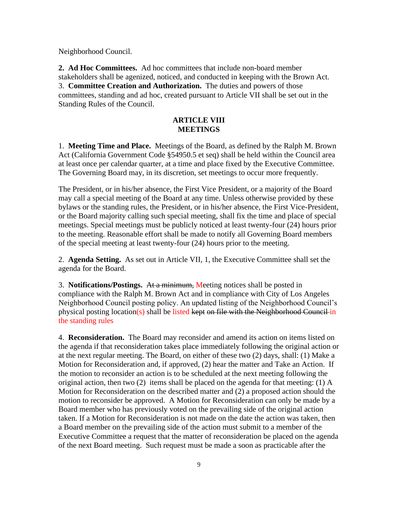Neighborhood Council.

**2. Ad Hoc Committees.** Ad hoc committees that include non-board member stakeholders shall be agenized, noticed, and conducted in keeping with the Brown Act. 3. **Committee Creation and Authorization.** The duties and powers of those committees, standing and ad hoc, created pursuant to Article VII shall be set out in the Standing Rules of the Council.

#### **ARTICLE VIII MEETINGS**

1. **Meeting Time and Place.** Meetings of the Board, as defined by the Ralph M. Brown Act (California Government Code §54950.5 et seq) shall be held within the Council area at least once per calendar quarter, at a time and place fixed by the Executive Committee. The Governing Board may, in its discretion, set meetings to occur more frequently.

The President, or in his/her absence, the First Vice President, or a majority of the Board may call a special meeting of the Board at any time. Unless otherwise provided by these bylaws or the standing rules, the President, or in his/her absence, the First Vice-President, or the Board majority calling such special meeting, shall fix the time and place of special meetings. Special meetings must be publicly noticed at least twenty-four (24) hours prior to the meeting. Reasonable effort shall be made to notify all Governing Board members of the special meeting at least twenty-four (24) hours prior to the meeting.

2. **Agenda Setting.** As set out in Article VII, 1, the Executive Committee shall set the agenda for the Board.

3. **Notifications/Postings.** At a minimum, Meeting notices shall be posted in compliance with the Ralph M. Brown Act and in compliance with City of Los Angeles Neighborhood Council posting policy. An updated listing of the Neighborhood Council's physical posting location(s) shall be listed kept on file with the Neighborhood Council in the standing rules

4. **Reconsideration.** The Board may reconsider and amend its action on items listed on the agenda if that reconsideration takes place immediately following the original action or at the next regular meeting. The Board, on either of these two (2) days, shall: (1) Make a Motion for Reconsideration and, if approved, (2) hear the matter and Take an Action. If the motion to reconsider an action is to be scheduled at the next meeting following the original action, then two (2) items shall be placed on the agenda for that meeting: (1) A Motion for Reconsideration on the described matter and (2) a proposed action should the motion to reconsider be approved. A Motion for Reconsideration can only be made by a Board member who has previously voted on the prevailing side of the original action taken. If a Motion for Reconsideration is not made on the date the action was taken, then a Board member on the prevailing side of the action must submit to a member of the Executive Committee a request that the matter of reconsideration be placed on the agenda of the next Board meeting. Such request must be made a soon as practicable after the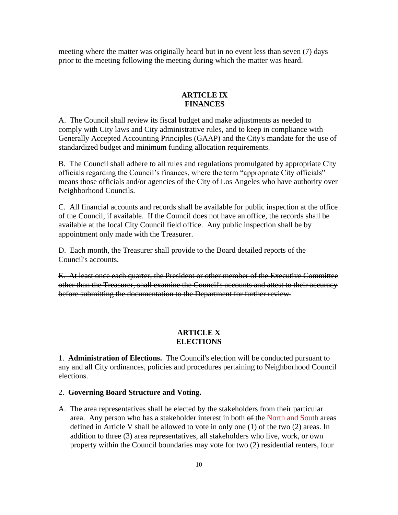meeting where the matter was originally heard but in no event less than seven (7) days prior to the meeting following the meeting during which the matter was heard.

#### **ARTICLE IX FINANCES**

A. The Council shall review its fiscal budget and make adjustments as needed to comply with City laws and City administrative rules, and to keep in compliance with Generally Accepted Accounting Principles (GAAP) and the City's mandate for the use of standardized budget and minimum funding allocation requirements.

B. The Council shall adhere to all rules and regulations promulgated by appropriate City officials regarding the Council's finances, where the term "appropriate City officials" means those officials and/or agencies of the City of Los Angeles who have authority over Neighborhood Councils.

C. All financial accounts and records shall be available for public inspection at the office of the Council, if available. If the Council does not have an office, the records shall be available at the local City Council field office. Any public inspection shall be by appointment only made with the Treasurer.

D. Each month, the Treasurer shall provide to the Board detailed reports of the Council's accounts.

E. At least once each quarter, the President or other member of the Executive Committee other than the Treasurer, shall examine the Council's accounts and attest to their accuracy before submitting the documentation to the Department for further review.

## **ARTICLE X ELECTIONS**

1. **Administration of Elections.** The Council's election will be conducted pursuant to any and all City ordinances, policies and procedures pertaining to Neighborhood Council elections.

#### 2. **Governing Board Structure and Voting.**

A. The area representatives shall be elected by the stakeholders from their particular area. Any person who has a stakeholder interest in both of the North and South areas defined in Article V shall be allowed to vote in only one (1) of the two (2) areas. In addition to three (3) area representatives, all stakeholders who live, work, or own property within the Council boundaries may vote for two (2) residential renters, four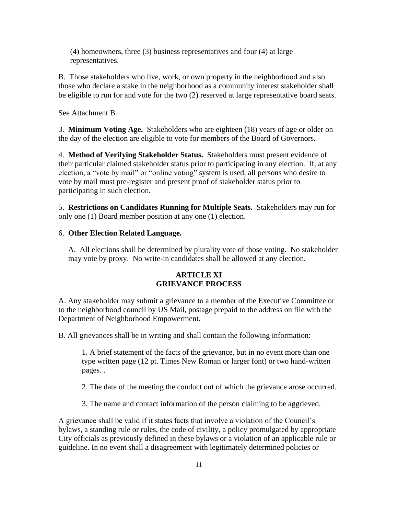(4) homeowners, three (3) business representatives and four (4) at large representatives.

B. Those stakeholders who live, work, or own property in the neighborhood and also those who declare a stake in the neighborhood as a community interest stakeholder shall be eligible to run for and vote for the two (2) reserved at large representative board seats.

See Attachment B.

3. **Minimum Voting Age.** Stakeholders who are eighteen (18) years of age or older on the day of the election are eligible to vote for members of the Board of Governors.

4. **Method of Verifying Stakeholder Status.** Stakeholders must present evidence of their particular claimed stakeholder status prior to participating in any election. If, at any election, a "vote by mail" or "online voting" system is used, all persons who desire to vote by mail must pre-register and present proof of stakeholder status prior to participating in such election.

5. **Restrictions on Candidates Running for Multiple Seats.** Stakeholders may run for only one (1) Board member position at any one (1) election.

#### 6. **Other Election Related Language.**

 A. All elections shall be determined by plurality vote of those voting. No stakeholder may vote by proxy. No write-in candidates shall be allowed at any election.

# **ARTICLE XI GRIEVANCE PROCESS**

A. Any stakeholder may submit a grievance to a member of the Executive Committee or to the neighborhood council by US Mail, postage prepaid to the address on file with the Department of Neighborhood Empowerment.

B. All grievances shall be in writing and shall contain the following information:

1. A brief statement of the facts of the grievance, but in no event more than one type written page (12 pt. Times New Roman or larger font) or two hand-written pages. .

2. The date of the meeting the conduct out of which the grievance arose occurred.

3. The name and contact information of the person claiming to be aggrieved.

A grievance shall be valid if it states facts that involve a violation of the Council's bylaws, a standing rule or rules, the code of civility, a policy promulgated by appropriate City officials as previously defined in these bylaws or a violation of an applicable rule or guideline. In no event shall a disagreement with legitimately determined policies or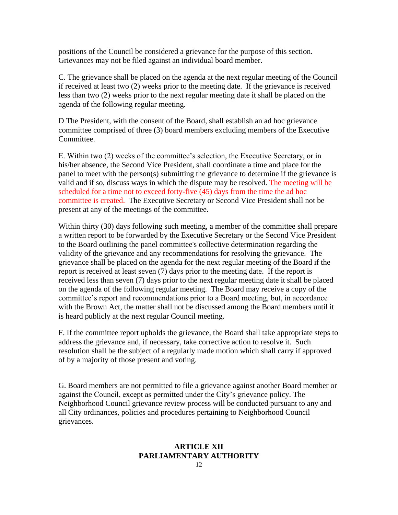positions of the Council be considered a grievance for the purpose of this section. Grievances may not be filed against an individual board member.

C. The grievance shall be placed on the agenda at the next regular meeting of the Council if received at least two (2) weeks prior to the meeting date. If the grievance is received less than two (2) weeks prior to the next regular meeting date it shall be placed on the agenda of the following regular meeting.

D The President, with the consent of the Board, shall establish an ad hoc grievance committee comprised of three (3) board members excluding members of the Executive Committee.

E. Within two (2) weeks of the committee's selection, the Executive Secretary, or in his/her absence, the Second Vice President, shall coordinate a time and place for the panel to meet with the person(s) submitting the grievance to determine if the grievance is valid and if so, discuss ways in which the dispute may be resolved. The meeting will be scheduled for a time not to exceed forty-five (45) days from the time the ad hoc committee is created. The Executive Secretary or Second Vice President shall not be present at any of the meetings of the committee.

Within thirty (30) days following such meeting, a member of the committee shall prepare a written report to be forwarded by the Executive Secretary or the Second Vice President to the Board outlining the panel committee's collective determination regarding the validity of the grievance and any recommendations for resolving the grievance. The grievance shall be placed on the agenda for the next regular meeting of the Board if the report is received at least seven (7) days prior to the meeting date. If the report is received less than seven (7) days prior to the next regular meeting date it shall be placed on the agenda of the following regular meeting. The Board may receive a copy of the committee's report and recommendations prior to a Board meeting, but, in accordance with the Brown Act, the matter shall not be discussed among the Board members until it is heard publicly at the next regular Council meeting.

F. If the committee report upholds the grievance, the Board shall take appropriate steps to address the grievance and, if necessary, take corrective action to resolve it. Such resolution shall be the subject of a regularly made motion which shall carry if approved of by a majority of those present and voting.

G. Board members are not permitted to file a grievance against another Board member or against the Council, except as permitted under the City's grievance policy. The Neighborhood Council grievance review process will be conducted pursuant to any and all City ordinances, policies and procedures pertaining to Neighborhood Council grievances.

# **ARTICLE XII PARLIAMENTARY AUTHORITY**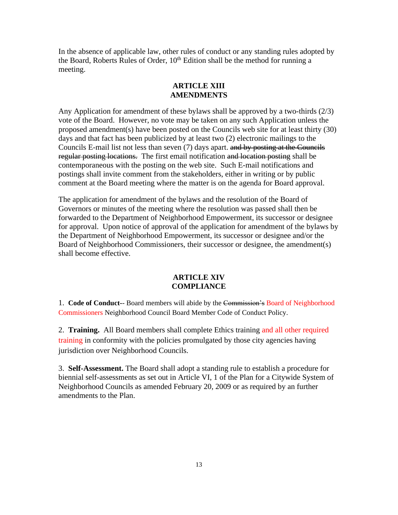In the absence of applicable law, other rules of conduct or any standing rules adopted by the Board, Roberts Rules of Order,  $10<sup>th</sup>$  Edition shall be the method for running a meeting.

## **ARTICLE XIII AMENDMENTS**

Any Application for amendment of these bylaws shall be approved by a two-thirds (2/3) vote of the Board. However, no vote may be taken on any such Application unless the proposed amendment(s) have been posted on the Councils web site for at least thirty (30) days and that fact has been publicized by at least two (2) electronic mailings to the Councils E-mail list not less than seven (7) days apart. and by posting at the Councils regular posting locations. The first email notification and location posting shall be contemporaneous with the posting on the web site. Such E-mail notifications and postings shall invite comment from the stakeholders, either in writing or by public comment at the Board meeting where the matter is on the agenda for Board approval.

The application for amendment of the bylaws and the resolution of the Board of Governors or minutes of the meeting where the resolution was passed shall then be forwarded to the Department of Neighborhood Empowerment, its successor or designee for approval. Upon notice of approval of the application for amendment of the bylaws by the Department of Neighborhood Empowerment, its successor or designee and/or the Board of Neighborhood Commissioners, their successor or designee, the amendment(s) shall become effective.

## **ARTICLE XIV COMPLIANCE**

1. **Code of Conduct-**- Board members will abide by the Commission's Board of Neighborhood Commissioners Neighborhood Council Board Member Code of Conduct Policy.

2. **Training.** All Board members shall complete Ethics training and all other required training in conformity with the policies promulgated by those city agencies having jurisdiction over Neighborhood Councils.

3. **Self-Assessment.** The Board shall adopt a standing rule to establish a procedure for biennial self-assessments as set out in Article VI, 1 of the Plan for a Citywide System of Neighborhood Councils as amended February 20, 2009 or as required by an further amendments to the Plan.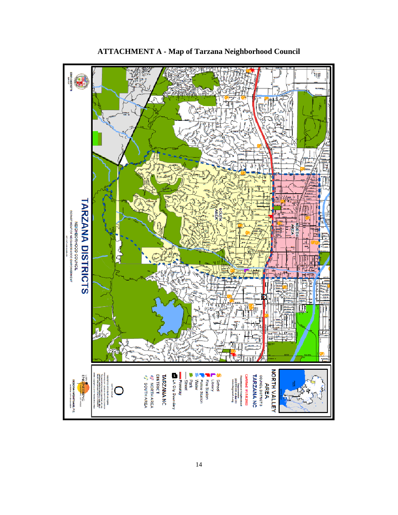

**ATTACHMENT A - Map of Tarzana Neighborhood Council**